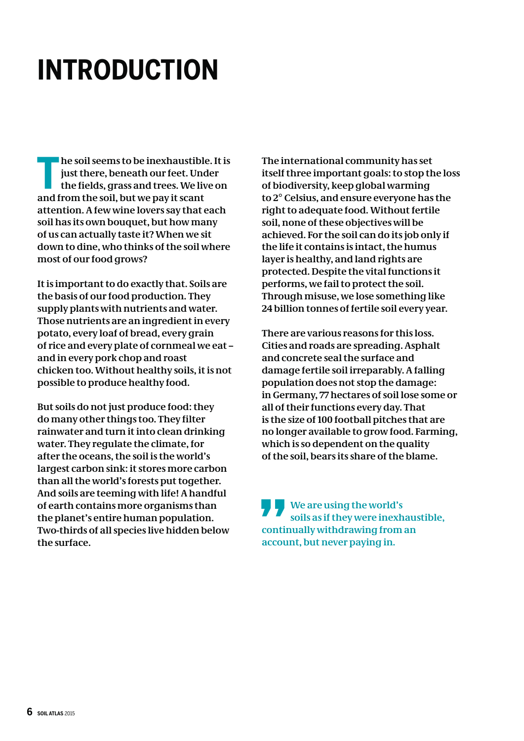## **INTRODUCTION INTERNATIONAL PROPERTY**

and from the soil, but we pay it scant<br>attention. A few wine lovers say that<br>soil has its own bouquet, but how ma **he soil seems to be inexhaustible. It is just there, beneath our feet. Under the fields, grass and trees. We live on attention. A few wine lovers say that each soil has its own bouquet, but how many of us can actually taste it? When we sit down to dine, who thinks of the soil where most of our food grows?**

**It is important to do exactly that. Soils are the basis of our food production. They supply plants with nutrients and water. Those nutrients are an ingredient in every potato, every loaf of bread, every grain of rice and every plate of cornmeal we eat – and in every pork chop and roast chicken too. Without healthy soils, it is not possible to produce healthy food.** 

**But soils do not just produce food: they do many other things too. They filter rainwater and turn it into clean drinking water. They regulate the climate, for after the oceans, the soil is the world's largest carbon sink: it stores more carbon than all the world's forests put together. And soils are teeming with life! A handful of earth contains more organisms than the planet's entire human population. Two-thirds of all species live hidden below the surface.**

**The international community has set itself three important goals: to stop the loss of biodiversity, keep global warming to 2° Celsius, and ensure everyone has the right to adequate food. Without fertile soil, none of these objectives will be achieved. For the soil can do its job only if the life it contains is intact, the humus layer is healthy, and land rights are protected. Despite the vital functions it performs, we fail to protect the soil. Through misuse, we lose something like 24 billion tonnes of fertile soil every year.**

**There are various reasons for this loss. Cities and roads are spreading. Asphalt and concrete seal the surface and damage fertile soil irreparably. A falling population does not stop the damage: in Germany, 77 hectares of soil lose some or all of their functions every day. That is the size of 100 football pitches that are no longer available to grow food. Farming, which is so dependent on the quality of the soil, bears its share of the blame.**

**We are using the world's soils as if they were inexhaustible, continually withdrawing from an account, but never paying in. CONTENT**<br> **CONTENT**<br> **EXECUTE**